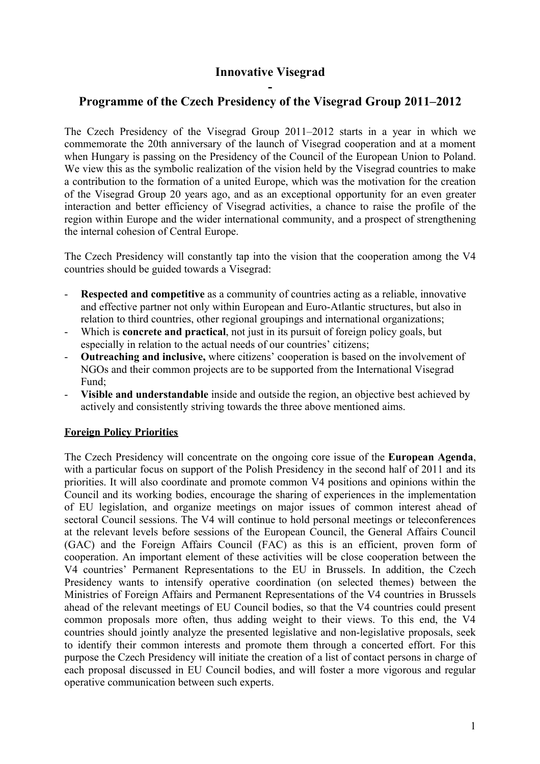# **Innovative Visegrad**

# **- Programme of the Czech Presidency of the Visegrad Group 2011–2012**

The Czech Presidency of the Visegrad Group 2011–2012 starts in a year in which we commemorate the 20th anniversary of the launch of Visegrad cooperation and at a moment when Hungary is passing on the Presidency of the Council of the European Union to Poland. We view this as the symbolic realization of the vision held by the Visegrad countries to make a contribution to the formation of a united Europe, which was the motivation for the creation of the Visegrad Group 20 years ago, and as an exceptional opportunity for an even greater interaction and better efficiency of Visegrad activities, a chance to raise the profile of the region within Europe and the wider international community, and a prospect of strengthening the internal cohesion of Central Europe.

The Czech Presidency will constantly tap into the vision that the cooperation among the V4 countries should be guided towards a Visegrad:

- **Respected and competitive** as a community of countries acting as a reliable, innovative and effective partner not only within European and Euro-Atlantic structures, but also in relation to third countries, other regional groupings and international organizations;
- Which is **concrete and practical**, not just in its pursuit of foreign policy goals, but especially in relation to the actual needs of our countries' citizens;
- **Outreaching and inclusive,** where citizens' cooperation is based on the involvement of NGOs and their common projects are to be supported from the International Visegrad Fund;
- **Visible and understandable** inside and outside the region, an objective best achieved by actively and consistently striving towards the three above mentioned aims.

#### **Foreign Policy Priorities**

The Czech Presidency will concentrate on the ongoing core issue of the **European Agenda**, with a particular focus on support of the Polish Presidency in the second half of 2011 and its priorities. It will also coordinate and promote common V4 positions and opinions within the Council and its working bodies, encourage the sharing of experiences in the implementation of EU legislation, and organize meetings on major issues of common interest ahead of sectoral Council sessions. The V4 will continue to hold personal meetings or teleconferences at the relevant levels before sessions of the European Council, the General Affairs Council (GAC) and the Foreign Affairs Council (FAC) as this is an efficient, proven form of cooperation. An important element of these activities will be close cooperation between the V4 countries' Permanent Representations to the EU in Brussels. In addition, the Czech Presidency wants to intensify operative coordination (on selected themes) between the Ministries of Foreign Affairs and Permanent Representations of the V4 countries in Brussels ahead of the relevant meetings of EU Council bodies, so that the V4 countries could present common proposals more often, thus adding weight to their views. To this end, the V4 countries should jointly analyze the presented legislative and non-legislative proposals, seek to identify their common interests and promote them through a concerted effort. For this purpose the Czech Presidency will initiate the creation of a list of contact persons in charge of each proposal discussed in EU Council bodies, and will foster a more vigorous and regular operative communication between such experts.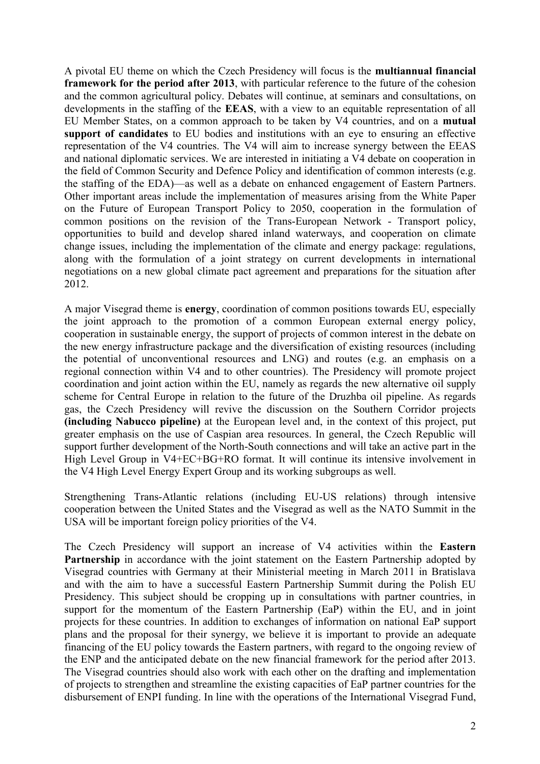A pivotal EU theme on which the Czech Presidency will focus is the **multiannual financial framework for the period after 2013**, with particular reference to the future of the cohesion and the common agricultural policy. Debates will continue, at seminars and consultations, on developments in the staffing of the **EEAS**, with a view to an equitable representation of all EU Member States, on a common approach to be taken by V4 countries, and on a **mutual support of candidates** to EU bodies and institutions with an eye to ensuring an effective representation of the V4 countries. The V4 will aim to increase synergy between the EEAS and national diplomatic services. We are interested in initiating a V4 debate on cooperation in the field of Common Security and Defence Policy and identification of common interests (e.g. the staffing of the EDA)—as well as a debate on enhanced engagement of Eastern Partners. Other important areas include the implementation of measures arising from the White Paper on the Future of European Transport Policy to 2050, cooperation in the formulation of common positions on the revision of the Trans-European Network - Transport policy, opportunities to build and develop shared inland waterways, and cooperation on climate change issues, including the implementation of the climate and energy package: regulations, along with the formulation of a joint strategy on current developments in international negotiations on a new global climate pact agreement and preparations for the situation after 2012.

A major Visegrad theme is **energy**, coordination of common positions towards EU, especially the joint approach to the promotion of a common European external energy policy, cooperation in sustainable energy, the support of projects of common interest in the debate on the new energy infrastructure package and the diversification of existing resources (including the potential of unconventional resources and LNG) and routes (e.g. an emphasis on a regional connection within V4 and to other countries). The Presidency will promote project coordination and joint action within the EU, namely as regards the new alternative oil supply scheme for Central Europe in relation to the future of the Druzhba oil pipeline. As regards gas, the Czech Presidency will revive the discussion on the Southern Corridor projects **(including Nabucco pipeline)** at the European level and, in the context of this project, put greater emphasis on the use of Caspian area resources. In general, the Czech Republic will support further development of the North-South connections and will take an active part in the High Level Group in V4+EC+BG+RO format. It will continue its intensive involvement in the V4 High Level Energy Expert Group and its working subgroups as well.

Strengthening Trans-Atlantic relations (including EU-US relations) through intensive cooperation between the United States and the Visegrad as well as the NATO Summit in the USA will be important foreign policy priorities of the V4.

The Czech Presidency will support an increase of V4 activities within the **Eastern** Partnership in accordance with the joint statement on the Eastern Partnership adopted by Visegrad countries with Germany at their Ministerial meeting in March 2011 in Bratislava and with the aim to have a successful Eastern Partnership Summit during the Polish EU Presidency. This subject should be cropping up in consultations with partner countries, in support for the momentum of the Eastern Partnership (EaP) within the EU, and in joint projects for these countries. In addition to exchanges of information on national EaP support plans and the proposal for their synergy, we believe it is important to provide an adequate financing of the EU policy towards the Eastern partners, with regard to the ongoing review of the ENP and the anticipated debate on the new financial framework for the period after 2013. The Visegrad countries should also work with each other on the drafting and implementation of projects to strengthen and streamline the existing capacities of EaP partner countries for the disbursement of ENPI funding. In line with the operations of the International Visegrad Fund,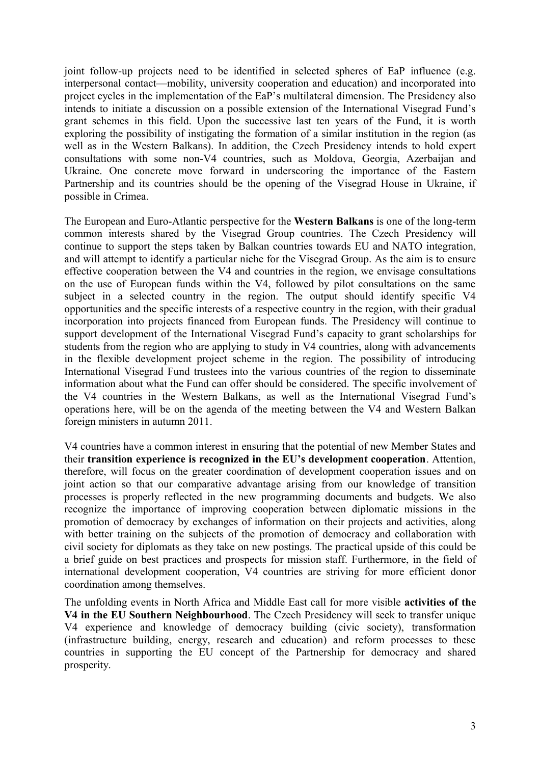joint follow-up projects need to be identified in selected spheres of EaP influence (e.g. interpersonal contact—mobility, university cooperation and education) and incorporated into project cycles in the implementation of the EaP's multilateral dimension. The Presidency also intends to initiate a discussion on a possible extension of the International Visegrad Fund's grant schemes in this field. Upon the successive last ten years of the Fund, it is worth exploring the possibility of instigating the formation of a similar institution in the region (as well as in the Western Balkans). In addition, the Czech Presidency intends to hold expert consultations with some non-V4 countries, such as Moldova, Georgia, Azerbaijan and Ukraine. One concrete move forward in underscoring the importance of the Eastern Partnership and its countries should be the opening of the Visegrad House in Ukraine, if possible in Crimea.

The European and Euro-Atlantic perspective for the **Western Balkans** is one of the long-term common interests shared by the Visegrad Group countries. The Czech Presidency will continue to support the steps taken by Balkan countries towards EU and NATO integration, and will attempt to identify a particular niche for the Visegrad Group. As the aim is to ensure effective cooperation between the V4 and countries in the region, we envisage consultations on the use of European funds within the V4, followed by pilot consultations on the same subject in a selected country in the region. The output should identify specific V4 opportunities and the specific interests of a respective country in the region, with their gradual incorporation into projects financed from European funds. The Presidency will continue to support development of the International Visegrad Fund's capacity to grant scholarships for students from the region who are applying to study in V4 countries, along with advancements in the flexible development project scheme in the region. The possibility of introducing International Visegrad Fund trustees into the various countries of the region to disseminate information about what the Fund can offer should be considered. The specific involvement of the V4 countries in the Western Balkans, as well as the International Visegrad Fund's operations here, will be on the agenda of the meeting between the V4 and Western Balkan foreign ministers in autumn 2011.

V4 countries have a common interest in ensuring that the potential of new Member States and their **transition experience is recognized in the EU's development cooperation**. Attention, therefore, will focus on the greater coordination of development cooperation issues and on joint action so that our comparative advantage arising from our knowledge of transition processes is properly reflected in the new programming documents and budgets. We also recognize the importance of improving cooperation between diplomatic missions in the promotion of democracy by exchanges of information on their projects and activities, along with better training on the subjects of the promotion of democracy and collaboration with civil society for diplomats as they take on new postings. The practical upside of this could be a brief guide on best practices and prospects for mission staff. Furthermore, in the field of international development cooperation, V4 countries are striving for more efficient donor coordination among themselves.

The unfolding events in North Africa and Middle East call for more visible **activities of the V4 in the EU Southern Neighbourhood**. The Czech Presidency will seek to transfer unique V4 experience and knowledge of democracy building (civic society), transformation (infrastructure building, energy, research and education) and reform processes to these countries in supporting the EU concept of the Partnership for democracy and shared prosperity.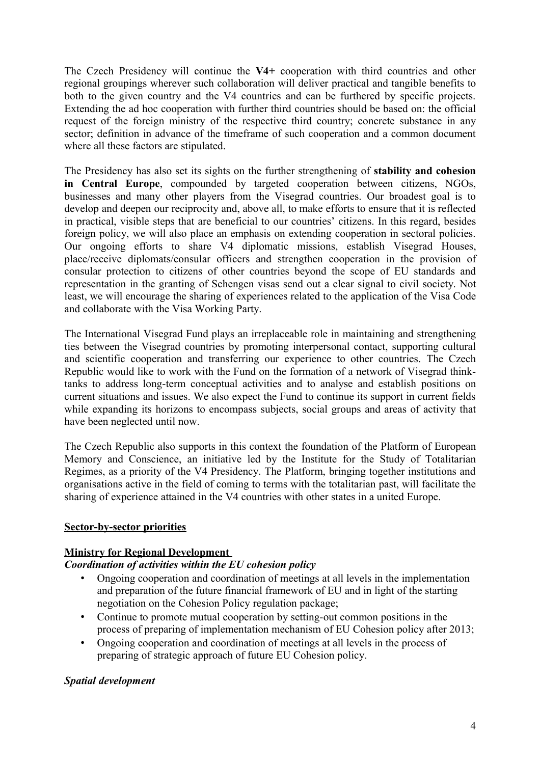The Czech Presidency will continue the **V4+** cooperation with third countries and other regional groupings wherever such collaboration will deliver practical and tangible benefits to both to the given country and the V4 countries and can be furthered by specific projects. Extending the ad hoc cooperation with further third countries should be based on: the official request of the foreign ministry of the respective third country; concrete substance in any sector; definition in advance of the timeframe of such cooperation and a common document where all these factors are stipulated.

The Presidency has also set its sights on the further strengthening of **stability and cohesion in Central Europe**, compounded by targeted cooperation between citizens, NGOs, businesses and many other players from the Visegrad countries. Our broadest goal is to develop and deepen our reciprocity and, above all, to make efforts to ensure that it is reflected in practical, visible steps that are beneficial to our countries' citizens. In this regard, besides foreign policy, we will also place an emphasis on extending cooperation in sectoral policies. Our ongoing efforts to share V4 diplomatic missions, establish Visegrad Houses, place/receive diplomats/consular officers and strengthen cooperation in the provision of consular protection to citizens of other countries beyond the scope of EU standards and representation in the granting of Schengen visas send out a clear signal to civil society. Not least, we will encourage the sharing of experiences related to the application of the Visa Code and collaborate with the Visa Working Party.

The International Visegrad Fund plays an irreplaceable role in maintaining and strengthening ties between the Visegrad countries by promoting interpersonal contact, supporting cultural and scientific cooperation and transferring our experience to other countries. The Czech Republic would like to work with the Fund on the formation of a network of Visegrad thinktanks to address long-term conceptual activities and to analyse and establish positions on current situations and issues. We also expect the Fund to continue its support in current fields while expanding its horizons to encompass subjects, social groups and areas of activity that have been neglected until now.

The Czech Republic also supports in this context the foundation of the Platform of European Memory and Conscience, an initiative led by the Institute for the Study of Totalitarian Regimes, as a priority of the V4 Presidency. The Platform, bringing together institutions and organisations active in the field of coming to terms with the totalitarian past, will facilitate the sharing of experience attained in the V4 countries with other states in a united Europe.

#### **Sector-by-sector priorities**

#### **Ministry for Regional Development**

#### *Coordination of activities within the EU cohesion policy*

- Ongoing cooperation and coordination of meetings at all levels in the implementation and preparation of the future financial framework of EU and in light of the starting negotiation on the Cohesion Policy regulation package;
- Continue to promote mutual cooperation by setting-out common positions in the process of preparing of implementation mechanism of EU Cohesion policy after 2013;
- Ongoing cooperation and coordination of meetings at all levels in the process of preparing of strategic approach of future EU Cohesion policy.

#### *Spatial development*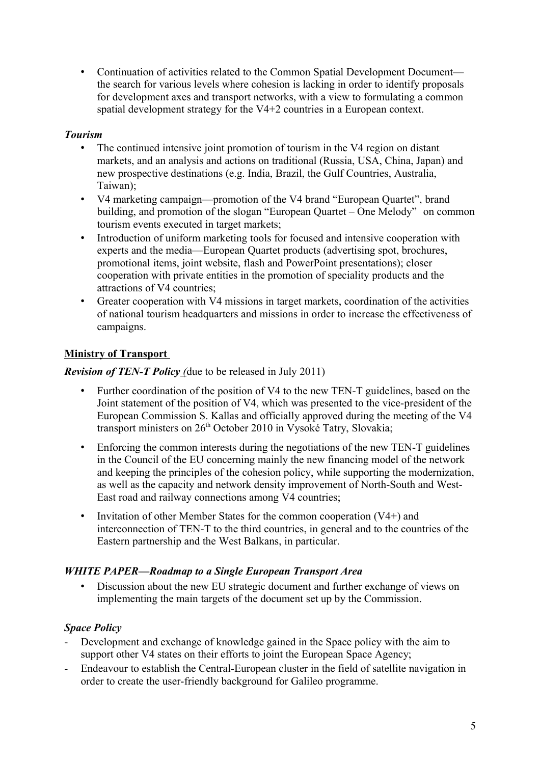• Continuation of activities related to the Common Spatial Development Document the search for various levels where cohesion is lacking in order to identify proposals for development axes and transport networks, with a view to formulating a common spatial development strategy for the V4+2 countries in a European context.

#### *Tourism*

- The continued intensive joint promotion of tourism in the V4 region on distant markets, and an analysis and actions on traditional (Russia, USA, China, Japan) and new prospective destinations (e.g. India, Brazil, the Gulf Countries, Australia, Taiwan);
- V4 marketing campaign—promotion of the V4 brand "European Quartet", brand building, and promotion of the slogan "European Quartet – One Melody" on common tourism events executed in target markets;
- Introduction of uniform marketing tools for focused and intensive cooperation with experts and the media—European Quartet products (advertising spot, brochures, promotional items, joint website, flash and PowerPoint presentations); closer cooperation with private entities in the promotion of speciality products and the attractions of V4 countries;
- Greater cooperation with V4 missions in target markets, coordination of the activities of national tourism headquarters and missions in order to increase the effectiveness of campaigns.

# **Ministry of Transport**

*Revision of TEN-T Policy (*due to be released in July 2011)

- Further coordination of the position of V4 to the new TEN-T guidelines, based on the Joint statement of the position of V4, which was presented to the vice-president of the European Commission S. Kallas and officially approved during the meeting of the V4 transport ministers on 26<sup>th</sup> October 2010 in Vysoké Tatry, Slovakia;
- Enforcing the common interests during the negotiations of the new TEN-T guidelines in the Council of the EU concerning mainly the new financing model of the network and keeping the principles of the cohesion policy, while supporting the modernization, as well as the capacity and network density improvement of North-South and West-East road and railway connections among V4 countries;
- Invitation of other Member States for the common cooperation (V4+) and interconnection of TEN-T to the third countries, in general and to the countries of the Eastern partnership and the West Balkans, in particular.

# *WHITE PAPER—Roadmap to a Single European Transport Area*

• Discussion about the new EU strategic document and further exchange of views on implementing the main targets of the document set up by the Commission.

# *Space Policy*

- Development and exchange of knowledge gained in the Space policy with the aim to support other V4 states on their efforts to joint the European Space Agency;
- Endeavour to establish the Central-European cluster in the field of satellite navigation in order to create the user-friendly background for Galileo programme.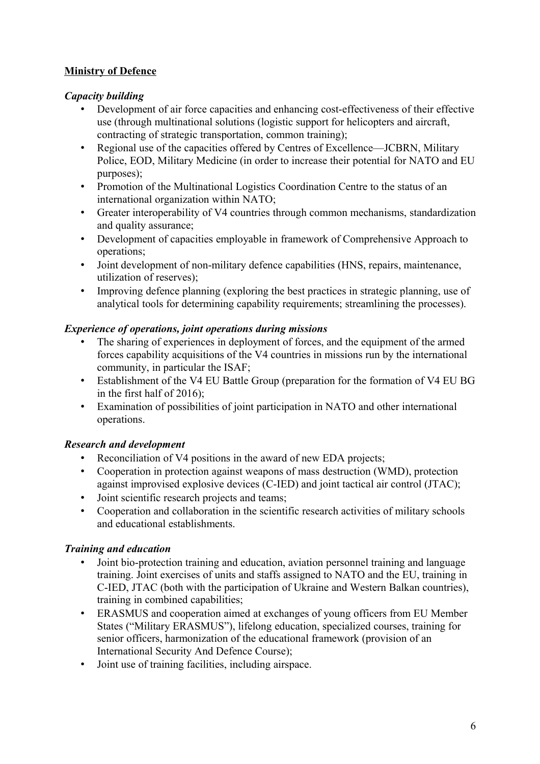# **Ministry of Defence**

#### *Capacity building*

- Development of air force capacities and enhancing cost-effectiveness of their effective use (through multinational solutions (logistic support for helicopters and aircraft, contracting of strategic transportation, common training);
- Regional use of the capacities offered by Centres of Excellence—JCBRN, Military Police, EOD, Military Medicine (in order to increase their potential for NATO and EU purposes);
- Promotion of the Multinational Logistics Coordination Centre to the status of an international organization within NATO;
- Greater interoperability of V4 countries through common mechanisms, standardization and quality assurance;
- Development of capacities employable in framework of Comprehensive Approach to operations;
- Joint development of non-military defence capabilities (HNS, repairs, maintenance, utilization of reserves);
- Improving defence planning (exploring the best practices in strategic planning, use of analytical tools for determining capability requirements; streamlining the processes).

# *Experience of operations, joint operations during missions*

- The sharing of experiences in deployment of forces, and the equipment of the armed forces capability acquisitions of the V4 countries in missions run by the international community, in particular the ISAF;
- Establishment of the V4 EU Battle Group (preparation for the formation of V4 EU BG in the first half of 2016);
- Examination of possibilities of joint participation in NATO and other international operations.

# *Research and development*

- Reconciliation of V4 positions in the award of new EDA projects;
- Cooperation in protection against weapons of mass destruction (WMD), protection against improvised explosive devices (C-IED) and joint tactical air control (JTAC);
- Joint scientific research projects and teams;
- Cooperation and collaboration in the scientific research activities of military schools and educational establishments.

# *Training and education*

- Joint bio-protection training and education, aviation personnel training and language training. Joint exercises of units and staffs assigned to NATO and the EU, training in C-IED, JTAC (both with the participation of Ukraine and Western Balkan countries), training in combined capabilities;
- ERASMUS and cooperation aimed at exchanges of young officers from EU Member States ("Military ERASMUS"), lifelong education, specialized courses, training for senior officers, harmonization of the educational framework (provision of an International Security And Defence Course);
- Joint use of training facilities, including airspace.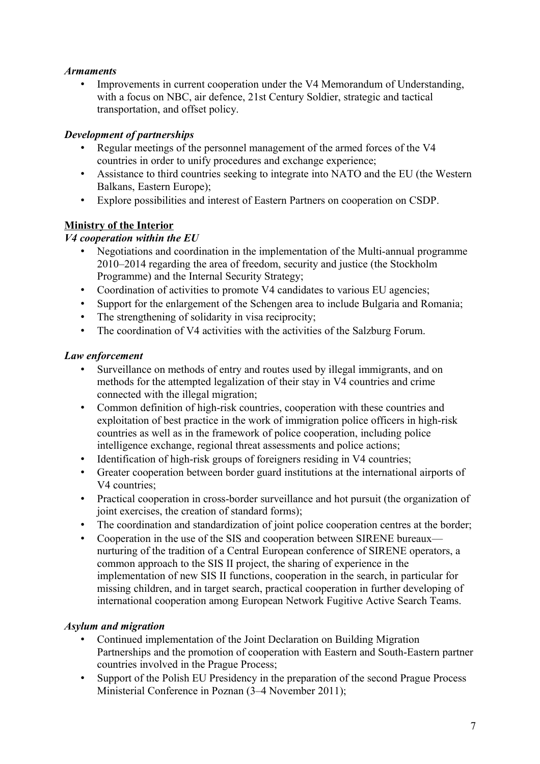#### *Armaments*

• Improvements in current cooperation under the V4 Memorandum of Understanding, with a focus on NBC, air defence, 21st Century Soldier, strategic and tactical transportation, and offset policy.

# *Development of partnerships*

- Regular meetings of the personnel management of the armed forces of the V4 countries in order to unify procedures and exchange experience;
- Assistance to third countries seeking to integrate into NATO and the EU (the Western Balkans, Eastern Europe);
- Explore possibilities and interest of Eastern Partners on cooperation on CSDP.

# **Ministry of the Interior**

# *V4 cooperation within the EU*

- Negotiations and coordination in the implementation of the Multi-annual programme 2010–2014 regarding the area of freedom, security and justice (the Stockholm Programme) and the Internal Security Strategy;
- Coordination of activities to promote V4 candidates to various EU agencies;
- Support for the enlargement of the Schengen area to include Bulgaria and Romania;
- The strengthening of solidarity in visa reciprocity:
- The coordination of V4 activities with the activities of the Salzburg Forum.

# *Law enforcement*

- Surveillance on methods of entry and routes used by illegal immigrants, and on methods for the attempted legalization of their stay in V4 countries and crime connected with the illegal migration;
- Common definition of high-risk countries, cooperation with these countries and exploitation of best practice in the work of immigration police officers in high-risk countries as well as in the framework of police cooperation, including police intelligence exchange, regional threat assessments and police actions;
- Identification of high-risk groups of foreigners residing in V4 countries;
- Greater cooperation between border guard institutions at the international airports of V<sub>4</sub> countries:
- Practical cooperation in cross-border surveillance and hot pursuit (the organization of joint exercises, the creation of standard forms);
- The coordination and standardization of joint police cooperation centres at the border;
- Cooperation in the use of the SIS and cooperation between SIRENE bureaux nurturing of the tradition of a Central European conference of SIRENE operators, a common approach to the SIS II project, the sharing of experience in the implementation of new SIS II functions, cooperation in the search, in particular for missing children, and in target search, practical cooperation in further developing of international cooperation among European Network Fugitive Active Search Teams.

# *Asylum and migration*

- Continued implementation of the Joint Declaration on Building Migration Partnerships and the promotion of cooperation with Eastern and South-Eastern partner countries involved in the Prague Process;
- Support of the Polish EU Presidency in the preparation of the second Prague Process Ministerial Conference in Poznan (3–4 November 2011);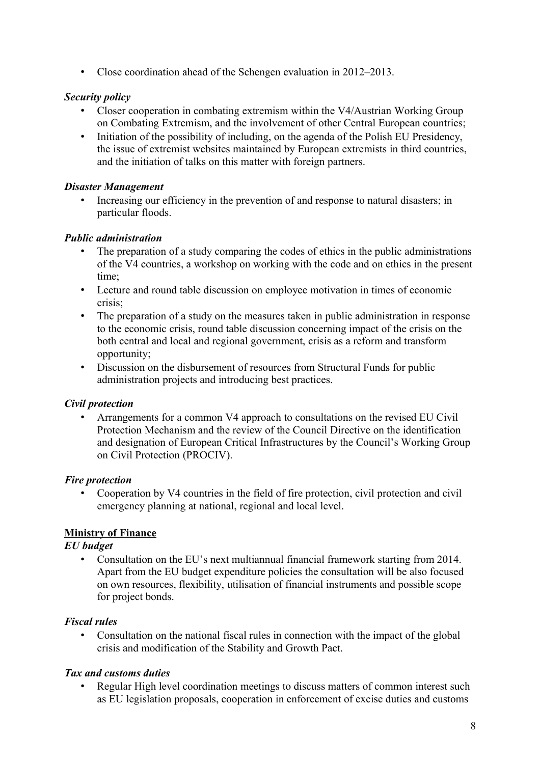• Close coordination ahead of the Schengen evaluation in 2012–2013.

#### *Security policy*

- Closer cooperation in combating extremism within the V4/Austrian Working Group on Combating Extremism, and the involvement of other Central European countries;
- Initiation of the possibility of including, on the agenda of the Polish EU Presidency, the issue of extremist websites maintained by European extremists in third countries, and the initiation of talks on this matter with foreign partners.

#### *Disaster Management*

• Increasing our efficiency in the prevention of and response to natural disasters; in particular floods.

#### *Public administration*

- The preparation of a study comparing the codes of ethics in the public administrations of the V4 countries, a workshop on working with the code and on ethics in the present time;
- Lecture and round table discussion on employee motivation in times of economic crisis;
- The preparation of a study on the measures taken in public administration in response to the economic crisis, round table discussion concerning impact of the crisis on the both central and local and regional government, crisis as a reform and transform opportunity;
- Discussion on the disbursement of resources from Structural Funds for public administration projects and introducing best practices.

# *Civil protection*

• Arrangements for a common V4 approach to consultations on the revised EU Civil Protection Mechanism and the review of the Council Directive on the identification and designation of European Critical Infrastructures by the Council's Working Group on Civil Protection (PROCIV).

#### *Fire protection*

• Cooperation by V4 countries in the field of fire protection, civil protection and civil emergency planning at national, regional and local level.

# **Ministry of Finance**

#### *EU budget*

• Consultation on the EU's next multiannual financial framework starting from 2014. Apart from the EU budget expenditure policies the consultation will be also focused on own resources, flexibility, utilisation of financial instruments and possible scope for project bonds.

# *Fiscal rules*

• Consultation on the national fiscal rules in connection with the impact of the global crisis and modification of the Stability and Growth Pact.

# *Tax and customs duties*

Regular High level coordination meetings to discuss matters of common interest such as EU legislation proposals, cooperation in enforcement of excise duties and customs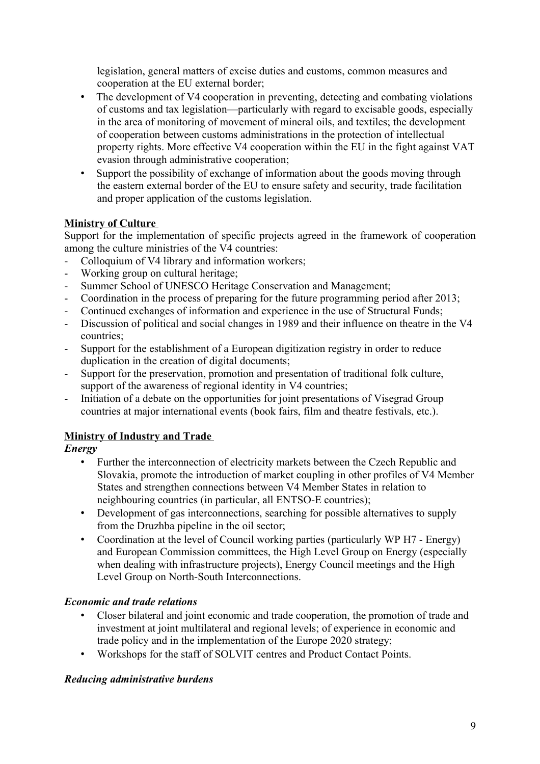legislation, general matters of excise duties and customs, common measures and cooperation at the EU external border;

- The development of V4 cooperation in preventing, detecting and combating violations of customs and tax legislation—particularly with regard to excisable goods, especially in the area of monitoring of movement of mineral oils, and textiles; the development of cooperation between customs administrations in the protection of intellectual property rights. More effective V4 cooperation within the EU in the fight against VAT evasion through administrative cooperation;
- Support the possibility of exchange of information about the goods moving through the eastern external border of the EU to ensure safety and security, trade facilitation and proper application of the customs legislation.

# **Ministry of Culture**

Support for the implementation of specific projects agreed in the framework of cooperation among the culture ministries of the V4 countries:

- Colloquium of V4 library and information workers;
- Working group on cultural heritage;
- Summer School of UNESCO Heritage Conservation and Management;
- Coordination in the process of preparing for the future programming period after 2013;
- Continued exchanges of information and experience in the use of Structural Funds;
- Discussion of political and social changes in 1989 and their influence on theatre in the V4 countries;
- Support for the establishment of a European digitization registry in order to reduce duplication in the creation of digital documents;
- Support for the preservation, promotion and presentation of traditional folk culture, support of the awareness of regional identity in V4 countries;
- Initiation of a debate on the opportunities for joint presentations of Visegrad Group countries at major international events (book fairs, film and theatre festivals, etc.).

# **Ministry of Industry and Trade**

#### *Energy*

- Further the interconnection of electricity markets between the Czech Republic and Slovakia, promote the introduction of market coupling in other profiles of V4 Member States and strengthen connections between V4 Member States in relation to neighbouring countries (in particular, all ENTSO-E countries);
- Development of gas interconnections, searching for possible alternatives to supply from the Druzhba pipeline in the oil sector;
- Coordination at the level of Council working parties (particularly WP H7 Energy) and European Commission committees, the High Level Group on Energy (especially when dealing with infrastructure projects), Energy Council meetings and the High Level Group on North-South Interconnections.

# *Economic and trade relations*

- Closer bilateral and joint economic and trade cooperation, the promotion of trade and investment at joint multilateral and regional levels; of experience in economic and trade policy and in the implementation of the Europe 2020 strategy;
- Workshops for the staff of SOLVIT centres and Product Contact Points.

# *Reducing administrative burdens*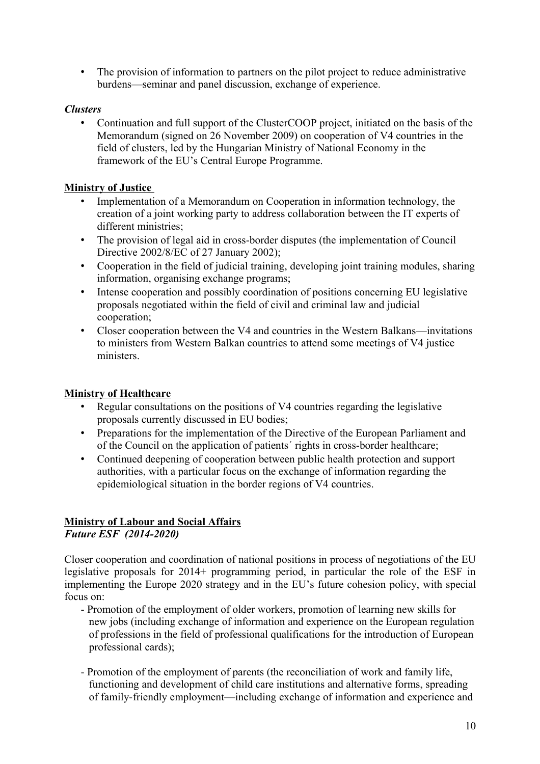• The provision of information to partners on the pilot project to reduce administrative burdens—seminar and panel discussion, exchange of experience.

#### *Clusters*

• Continuation and full support of the ClusterCOOP project, initiated on the basis of the Memorandum (signed on 26 November 2009) on cooperation of V4 countries in the field of clusters, led by the Hungarian Ministry of National Economy in the framework of the EU's Central Europe Programme.

#### **Ministry of Justice**

- Implementation of a Memorandum on Cooperation in information technology, the creation of a joint working party to address collaboration between the IT experts of different ministries;
- The provision of legal aid in cross-border disputes (the implementation of Council Directive 2002/8/EC of 27 January 2002);
- Cooperation in the field of judicial training, developing joint training modules, sharing information, organising exchange programs;
- Intense cooperation and possibly coordination of positions concerning EU legislative proposals negotiated within the field of civil and criminal law and judicial cooperation;
- Closer cooperation between the V4 and countries in the Western Balkans—invitations to ministers from Western Balkan countries to attend some meetings of V4 justice ministers.

# **Ministry of Healthcare**

- Regular consultations on the positions of V4 countries regarding the legislative proposals currently discussed in EU bodies;
- Preparations for the implementation of the Directive of the European Parliament and of the Council on the application of patients´ rights in cross-border healthcare;
- Continued deepening of cooperation between public health protection and support authorities, with a particular focus on the exchange of information regarding the epidemiological situation in the border regions of V4 countries.

#### **Ministry of Labour and Social Affairs** *Future ESF (2014-2020)*

Closer cooperation and coordination of national positions in process of negotiations of the EU legislative proposals for 2014+ programming period, in particular the role of the ESF in implementing the Europe 2020 strategy and in the EU's future cohesion policy, with special focus on:

- Promotion of the employment of older workers, promotion of learning new skills for new jobs (including exchange of information and experience on the European regulation of professions in the field of professional qualifications for the introduction of European professional cards);
- Promotion of the employment of parents (the reconciliation of work and family life, functioning and development of child care institutions and alternative forms, spreading of family-friendly employment—including exchange of information and experience and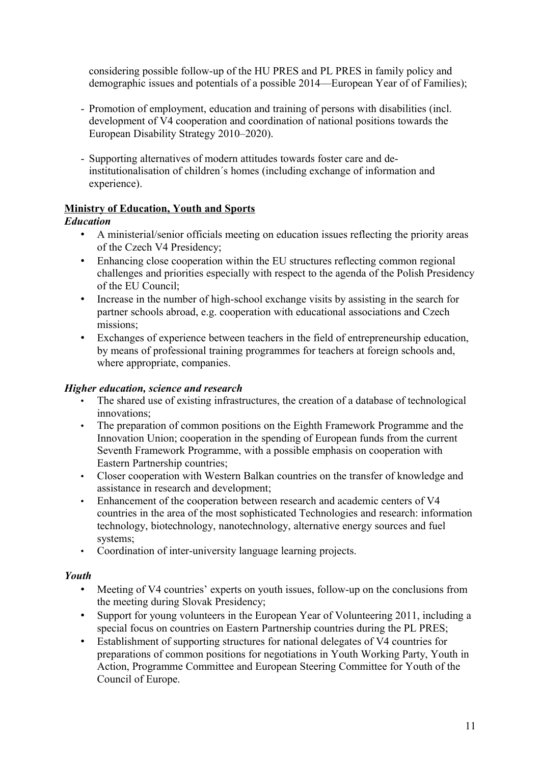considering possible follow-up of the HU PRES and PL PRES in family policy and demographic issues and potentials of a possible 2014—European Year of of Families);

- Promotion of employment, education and training of persons with disabilities (incl. development of V4 cooperation and coordination of national positions towards the European Disability Strategy 2010–2020).
- Supporting alternatives of modern attitudes towards foster care and deinstitutionalisation of children´s homes (including exchange of information and experience).

#### **Ministry of Education, Youth and Sports**

#### *Education*

- A ministerial/senior officials meeting on education issues reflecting the priority areas of the Czech V4 Presidency;
- Enhancing close cooperation within the EU structures reflecting common regional challenges and priorities especially with respect to the agenda of the Polish Presidency of the EU Council;
- Increase in the number of high-school exchange visits by assisting in the search for partner schools abroad, e.g. cooperation with educational associations and Czech missions;
- Exchanges of experience between teachers in the field of entrepreneurship education, by means of professional training programmes for teachers at foreign schools and, where appropriate, companies.

#### *Higher education, science and research*

- The shared use of existing infrastructures, the creation of a database of technological innovations;
- The preparation of common positions on the Eighth Framework Programme and the Innovation Union; cooperation in the spending of European funds from the current Seventh Framework Programme, with a possible emphasis on cooperation with Eastern Partnership countries;
- Closer cooperation with Western Balkan countries on the transfer of knowledge and assistance in research and development;
- Enhancement of the cooperation between research and academic centers of V4 countries in the area of the most sophisticated Technologies and research: information technology, biotechnology, nanotechnology, alternative energy sources and fuel systems;
- Coordination of inter-university language learning projects.

#### *Youth*

- Meeting of V4 countries' experts on youth issues, follow-up on the conclusions from the meeting during Slovak Presidency;
- Support for young volunteers in the European Year of Volunteering 2011, including a special focus on countries on Eastern Partnership countries during the PL PRES;
- Establishment of supporting structures for national delegates of V4 countries for preparations of common positions for negotiations in Youth Working Party, Youth in Action, Programme Committee and European Steering Committee for Youth of the Council of Europe.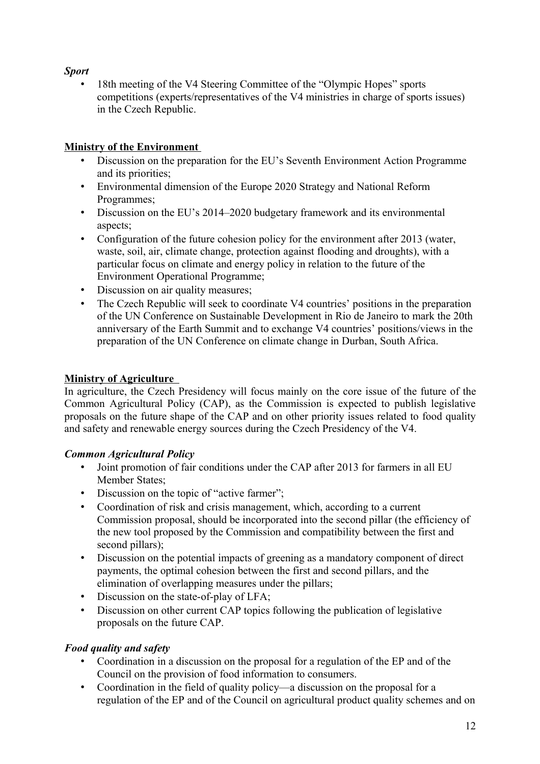# *Sport*

18th meeting of the V4 Steering Committee of the "Olympic Hopes" sports competitions (experts/representatives of the V4 ministries in charge of sports issues) in the Czech Republic.

# **Ministry of the Environment**

- Discussion on the preparation for the EU's Seventh Environment Action Programme and its priorities;
- Environmental dimension of the Europe 2020 Strategy and National Reform Programmes;
- Discussion on the EU's 2014–2020 budgetary framework and its environmental aspects;
- Configuration of the future cohesion policy for the environment after 2013 (water, waste, soil, air, climate change, protection against flooding and droughts), with a particular focus on climate and energy policy in relation to the future of the Environment Operational Programme;
- Discussion on air quality measures;
- The Czech Republic will seek to coordinate V4 countries' positions in the preparation of the UN Conference on Sustainable Development in Rio de Janeiro to mark the 20th anniversary of the Earth Summit and to exchange V4 countries' positions/views in the preparation of the UN Conference on climate change in Durban, South Africa.

# **Ministry of Agriculture**

In agriculture, the Czech Presidency will focus mainly on the core issue of the future of the Common Agricultural Policy (CAP), as the Commission is expected to publish legislative proposals on the future shape of the CAP and on other priority issues related to food quality and safety and renewable energy sources during the Czech Presidency of the V4.

# *Common Agricultural Policy*

- Joint promotion of fair conditions under the CAP after 2013 for farmers in all EU Member States;
- Discussion on the topic of "active farmer";
- Coordination of risk and crisis management, which, according to a current Commission proposal, should be incorporated into the second pillar (the efficiency of the new tool proposed by the Commission and compatibility between the first and second pillars);
- Discussion on the potential impacts of greening as a mandatory component of direct payments, the optimal cohesion between the first and second pillars, and the elimination of overlapping measures under the pillars;
- Discussion on the state-of-play of LFA;
- Discussion on other current CAP topics following the publication of legislative proposals on the future CAP.

# *Food quality and safety*

- Coordination in a discussion on the proposal for a regulation of the EP and of the Council on the provision of food information to consumers.
- Coordination in the field of quality policy—a discussion on the proposal for a regulation of the EP and of the Council on agricultural product quality schemes and on